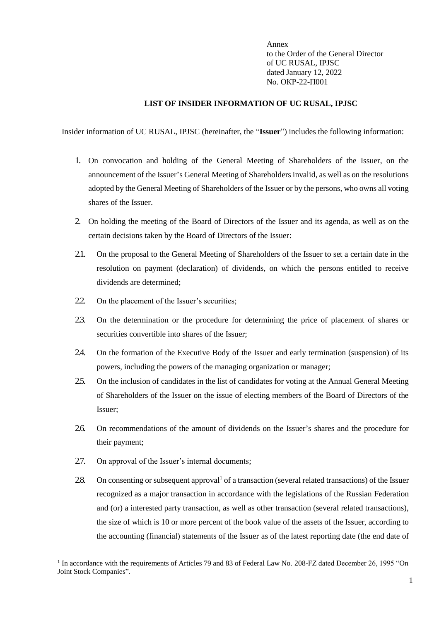Annex to the Order of the General Director of UC RUSAL, IPJSC dated January 12, 2022 No. ОКР-22-П001

## **LIST OF INSIDER INFORMATION OF UC RUSAL, IPJSC**

Insider information of UC RUSAL, IPJSC (hereinafter, the "**Issuer**") includes the following information:

- 1. On convocation and holding of the General Meeting of Shareholders of the Issuer, on the announcement of the Issuer's General Meeting of Shareholders invalid, as well as on the resolutions adopted by the General Meeting of Shareholders of the Issuer or by the persons, who owns all voting shares of the Issuer.
- 2. On holding the meeting of the Board of Directors of the Issuer and its agenda, as well as on the certain decisions taken by the Board of Directors of the Issuer:
- 2.1. On the proposal to the General Meeting of Shareholders of the Issuer to set a certain date in the resolution on payment (declaration) of dividends, on which the persons entitled to receive dividends are determined;
- 2.2. On the placement of the Issuer's securities;
- 2.3. On the determination or the procedure for determining the price of placement of shares or securities convertible into shares of the Issuer;
- 2.4. On the formation of the Executive Body of the Issuer and early termination (suspension) of its powers, including the powers of the managing organization or manager;
- 2.5. On the inclusion of candidates in the list of candidates for voting at the Annual General Meeting of Shareholders of the Issuer on the issue of electing members of the Board of Directors of the Issuer;
- 2.6. On recommendations of the amount of dividends on the Issuer's shares and the procedure for their payment;
- 2.7. On approval of the Issuer's internal documents;

 $\overline{a}$ 

2.8. On consenting or subsequent approval<sup>1</sup> of a transaction (several related transactions) of the Issuer recognized as a major transaction in accordance with the legislations of the Russian Federation and (or) a interested party transaction, as well as other transaction (several related transactions), the size of which is 10 or more percent of the book value of the assets of the Issuer, according to the accounting (financial) statements of the Issuer as of the latest reporting date (the end date of

<sup>&</sup>lt;sup>1</sup> In accordance with the requirements of Articles 79 and 83 of Federal Law No. 208-FZ dated December 26, 1995 "On Joint Stock Companies".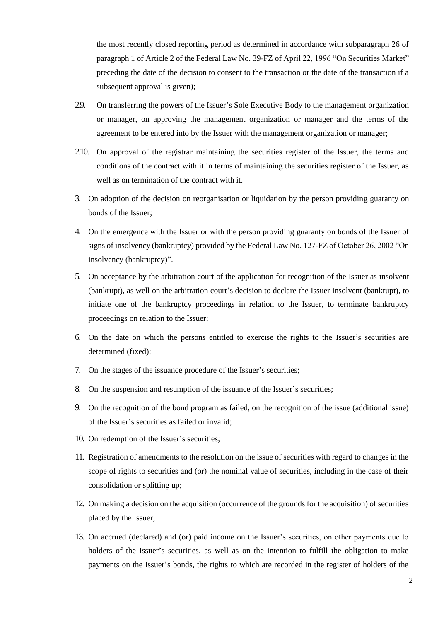the most recently closed reporting period as determined in accordance with subparagraph 26 of paragraph 1 of Article 2 of the Federal Law No. 39-FZ of April 22, 1996 "On Securities Market" preceding the date of the decision to consent to the transaction or the date of the transaction if a subsequent approval is given);

- 2.9. On transferring the powers of the Issuer's Sole Executive Body to the management organization or manager, on approving the management organization or manager and the terms of the agreement to be entered into by the Issuer with the management organization or manager;
- 2.10. On approval of the registrar maintaining the securities register of the Issuer, the terms and conditions of the contract with it in terms of maintaining the securities register of the Issuer, as well as on termination of the contract with it.
- 3. On adoption of the decision on reorganisation or liquidation by the person providing guaranty on bonds of the Issuer;
- 4. On the emergence with the Issuer or with the person providing guaranty on bonds of the Issuer of signs of insolvency (bankruptcy) provided by the Federal Law No. 127-FZ of October 26, 2002 "On insolvency (bankruptcy)".
- 5. On acceptance by the arbitration court of the application for recognition of the Issuer as insolvent (bankrupt), as well on the arbitration court's decision to declare the Issuer insolvent (bankrupt), to initiate one of the bankruptcy proceedings in relation to the Issuer, to terminate bankruptcy proceedings on relation to the Issuer;
- 6. On the date on which the persons entitled to exercise the rights to the Issuer's securities are determined (fixed);
- 7. On the stages of the issuance procedure of the Issuer's securities;
- 8. On the suspension and resumption of the issuance of the Issuer's securities;
- 9. On the recognition of the bond program as failed, on the recognition of the issue (additional issue) of the Issuer's securities as failed or invalid;
- 10. On redemption of the Issuer's securities;
- 11. Registration of amendments to the resolution on the issue of securities with regard to changes in the scope of rights to securities and (or) the nominal value of securities, including in the case of their consolidation or splitting up;
- 12. On making a decision on the acquisition (occurrence of the grounds for the acquisition) of securities placed by the Issuer;
- 13. On accrued (declared) and (or) paid income on the Issuer's securities, on other payments due to holders of the Issuer's securities, as well as on the intention to fulfill the obligation to make payments on the Issuer's bonds, the rights to which are recorded in the register of holders of the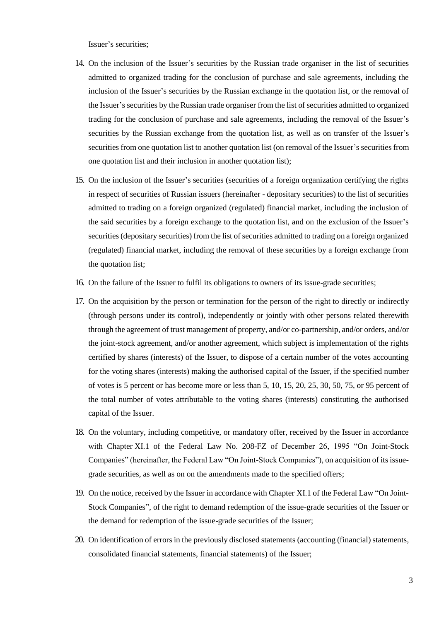Issuer's securities;

- 14. On the inclusion of the Issuer's securities by the Russian trade organiser in the list of securities admitted to organized trading for the conclusion of purchase and sale agreements, including the inclusion of the Issuer's securities by the Russian exchange in the quotation list, or the removal of the Issuer's securities by the Russian trade organiser from the list of securities admitted to organized trading for the conclusion of purchase and sale agreements, including the removal of the Issuer's securities by the Russian exchange from the quotation list, as well as on transfer of the Issuer's securities from one quotation list to another quotation list (on removal of the Issuer's securities from one quotation list and their inclusion in another quotation list);
- 15. On the inclusion of the Issuer's securities (securities of a foreign organization certifying the rights in respect of securities of Russian issuers (hereinafter - depositary securities) to the list of securities admitted to trading on a foreign organized (regulated) financial market, including the inclusion of the said securities by a foreign exchange to the quotation list, and on the exclusion of the Issuer's securities (depositary securities) from the list of securities admitted to trading on a foreign organized (regulated) financial market, including the removal of these securities by a foreign exchange from the quotation list;
- 16. On the failure of the Issuer to fulfil its obligations to owners of its issue-grade securities;
- 17. On the acquisition by the person or termination for the person of the right to directly or indirectly (through persons under its control), independently or jointly with other persons related therewith through the agreement of trust management of property, and/or co-partnership, and/or orders, and/or the joint-stock agreement, and/or another agreement, which subject is implementation of the rights certified by shares (interests) of the Issuer, to dispose of a certain number of the votes accounting for the voting shares (interests) making the authorised capital of the Issuer, if the specified number of votes is 5 percent or has become more or less than 5, 10, 15, 20, 25, 30, 50, 75, or 95 percent of the total number of votes attributable to the voting shares (interests) constituting the authorised capital of the Issuer.
- 18. On the voluntary, including competitive, or mandatory offer, received by the Issuer in accordance with Chapter XI.1 of the Federal Law No. 208-FZ of December 26, 1995 "On Joint-Stock Companies" (hereinafter, the Federal Law "On Joint-Stock Companies"), on acquisition of its issuegrade securities, as well as on on the amendments made to the specified offers;
- 19. On the notice, received by the Issuer in accordance with Chapter XI.1 of the Federal Law "On Joint-Stock Companies", of the right to demand redemption of the issue-grade securities of the Issuer or the demand for redemption of the issue-grade securities of the Issuer;
- 20. On identification of errors in the previously disclosed statements (accounting (financial) statements, consolidated financial statements, financial statements) of the Issuer;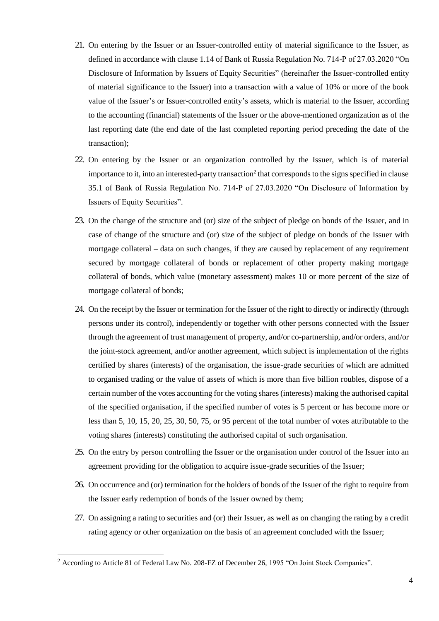- 21. On entering by the Issuer or an Issuer-controlled entity of material significance to the Issuer, as defined in accordance with clause 1.14 of Bank of Russia Regulation No. 714-P of 27.03.2020 "On Disclosure of Information by Issuers of Equity Securities" (hereinafter the Issuer-controlled entity of material significance to the Issuer) into a transaction with a value of 10% or more of the book value of the Issuer's or Issuer-controlled entity's assets, which is material to the Issuer, according to the accounting (financial) statements of the Issuer or the above-mentioned organization as of the last reporting date (the end date of the last completed reporting period preceding the date of the transaction);
- 22. On entering by the Issuer or an organization controlled by the Issuer, which is of material importance to it, into an interested-party transaction<sup>2</sup> that corresponds to the signs specified in clause 35.1 of Bank of Russia Regulation No. 714-P of 27.03.2020 "On Disclosure of Information by Issuers of Equity Securities".
- 23. On the change of the structure and (or) size of the subject of pledge on bonds of the Issuer, and in case of change of the structure and (or) size of the subject of pledge on bonds of the Issuer with mortgage collateral – data on such changes, if they are caused by replacement of any requirement secured by mortgage collateral of bonds or replacement of other property making mortgage collateral of bonds, which value (monetary assessment) makes 10 or more percent of the size of mortgage collateral of bonds;
- 24. On the receipt by the Issuer or termination for the Issuer of the right to directly or indirectly (through persons under its control), independently or together with other persons connected with the Issuer through the agreement of trust management of property, and/or co-partnership, and/or orders, and/or the joint-stock agreement, and/or another agreement, which subject is implementation of the rights certified by shares (interests) of the organisation, the issue-grade securities of which are admitted to organised trading or the value of assets of which is more than five billion roubles, dispose of a certain number of the votes accounting for the voting shares (interests) making the authorised capital of the specified organisation, if the specified number of votes is 5 percent or has become more or less than 5, 10, 15, 20, 25, 30, 50, 75, or 95 percent of the total number of votes attributable to the voting shares (interests) constituting the authorised capital of such organisation.
- 25. On the entry by person controlling the Issuer or the organisation under control of the Issuer into an agreement providing for the obligation to acquire issue-grade securities of the Issuer;
- 26. On occurrence and (or) termination for the holders of bonds of the Issuer of the right to require from the Issuer early redemption of bonds of the Issuer owned by them;
- 27. On assigning a rating to securities and (or) their Issuer, as well as on changing the rating by a credit rating agency or other organization on the basis of an agreement concluded with the Issuer;

l

<sup>&</sup>lt;sup>2</sup> According to Article 81 of Federal Law No. 208-FZ of December 26, 1995 "On Joint Stock Companies".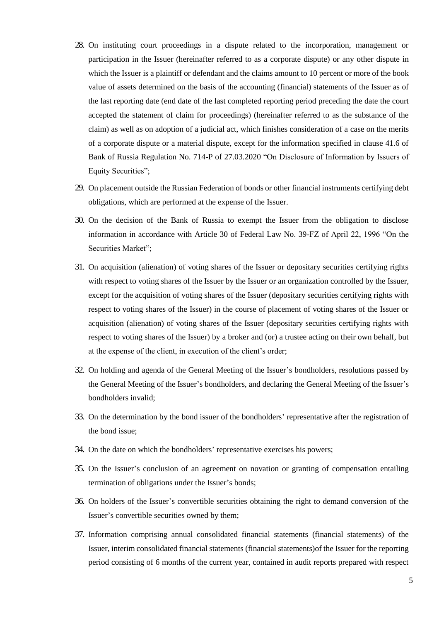- 28. On instituting court proceedings in a dispute related to the incorporation, management or participation in the Issuer (hereinafter referred to as a corporate dispute) or any other dispute in which the Issuer is a plaintiff or defendant and the claims amount to 10 percent or more of the book value of assets determined on the basis of the accounting (financial) statements of the Issuer as of the last reporting date (end date of the last completed reporting period preceding the date the court accepted the statement of claim for proceedings) (hereinafter referred to as the substance of the claim) as well as on adoption of a judicial act, which finishes consideration of a case on the merits of a corporate dispute or a material dispute, except for the information specified in clause 41.6 of Bank of Russia Regulation No. 714-P of 27.03.2020 "On Disclosure of Information by Issuers of Equity Securities";
- 29. On placement outside the Russian Federation of bonds or other financial instruments certifying debt obligations, which are performed at the expense of the Issuer.
- 30. On the decision of the Bank of Russia to exempt the Issuer from the obligation to disclose information in accordance with Article 30 of Federal Law No. 39-FZ of April 22, 1996 "On the Securities Market";
- 31. On acquisition (alienation) of voting shares of the Issuer or depositary securities certifying rights with respect to voting shares of the Issuer by the Issuer or an organization controlled by the Issuer, except for the acquisition of voting shares of the Issuer (depositary securities certifying rights with respect to voting shares of the Issuer) in the course of placement of voting shares of the Issuer or acquisition (alienation) of voting shares of the Issuer (depositary securities certifying rights with respect to voting shares of the Issuer) by a broker and (or) a trustee acting on their own behalf, but at the expense of the client, in execution of the client's order;
- 32. On holding and agenda of the General Meeting of the Issuer's bondholders, resolutions passed by the General Meeting of the Issuer's bondholders, and declaring the General Meeting of the Issuer's bondholders invalid;
- 33. On the determination by the bond issuer of the bondholders' representative after the registration of the bond issue;
- 34. On the date on which the bondholders' representative exercises his powers;
- 35. On the Issuer's conclusion of an agreement on novation or granting of compensation entailing termination of obligations under the Issuer's bonds;
- 36. On holders of the Issuer's convertible securities obtaining the right to demand conversion of the Issuer's convertible securities owned by them;
- 37. Information comprising annual consolidated financial statements (financial statements) of the Issuer, interim consolidated financial statements (financial statements)of the Issuer for the reporting period consisting of 6 months of the current year, contained in audit reports prepared with respect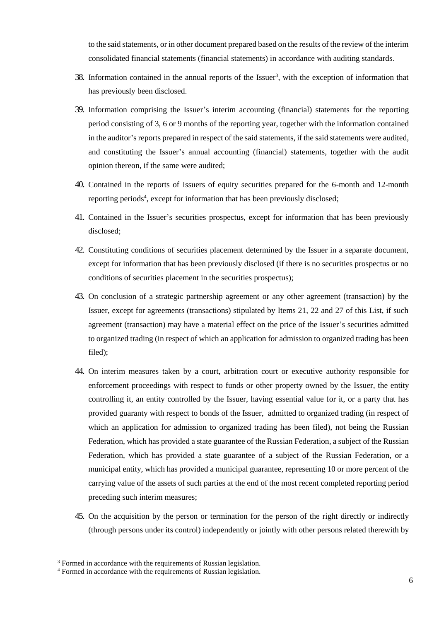to the said statements, or in other document prepared based on the results of the review of the interim consolidated financial statements (financial statements) in accordance with auditing standards.

- 38. Information contained in the annual reports of the Issuer<sup>3</sup>, with the exception of information that has previously been disclosed.
- 39. Information comprising the Issuer's interim accounting (financial) statements for the reporting period consisting of 3, 6 or 9 months of the reporting year, together with the information contained in the auditor's reports prepared in respect of the said statements, if the said statements were audited, and constituting the Issuer's annual accounting (financial) statements, together with the audit opinion thereon, if the same were audited;
- 40. Contained in the reports of Issuers of equity securities prepared for the 6-month and 12-month reporting periods<sup>4</sup>, except for information that has been previously disclosed;
- 41. Contained in the Issuer's securities prospectus, except for information that has been previously disclosed;
- 42. Constituting conditions of securities placement determined by the Issuer in a separate document, except for information that has been previously disclosed (if there is no securities prospectus or no conditions of securities placement in the securities prospectus);
- 43. On conclusion of a strategic partnership agreement or any other agreement (transaction) by the Issuer, except for agreements (transactions) stipulated by Items 21, 22 and 27 of this List, if such agreement (transaction) may have a material effect on the price of the Issuer's securities admitted to organized trading (in respect of which an application for admission to organized trading has been filed);
- 44. On interim measures taken by a court, arbitration court or executive authority responsible for enforcement proceedings with respect to funds or other property owned by the Issuer, the entity controlling it, an entity controlled by the Issuer, having essential value for it, or a party that has provided guaranty with respect to bonds of the Issuer, admitted to organized trading (in respect of which an application for admission to organized trading has been filed), not being the Russian Federation, which has provided a state guarantee of the Russian Federation, a subject of the Russian Federation, which has provided a state guarantee of a subject of the Russian Federation, or a municipal entity, which has provided a municipal guarantee, representing 10 or more percent of the carrying value of the assets of such parties at the end of the most recent completed reporting period preceding such interim measures;
- 45. On the acquisition by the person or termination for the person of the right directly or indirectly (through persons under its control) independently or jointly with other persons related therewith by

 $\overline{a}$ 

<sup>&</sup>lt;sup>3</sup> Formed in accordance with the requirements of Russian legislation.

<sup>4</sup> Formed in accordance with the requirements of Russian legislation.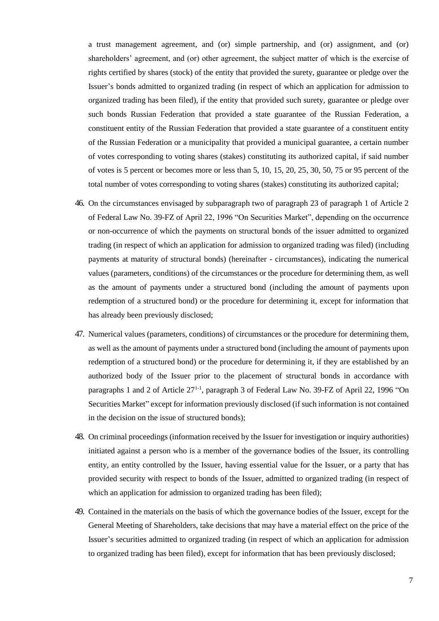a trust management agreement, and (or) simple partnership, and (or) assignment, and (or) shareholders' agreement, and (or) other agreement, the subject matter of which is the exercise of rights certified by shares (stock) of the entity that provided the surety, guarantee or pledge over the Issuer's bonds admitted to organized trading (in respect of which an application for admission to organized trading has been filed), if the entity that provided such surety, guarantee or pledge over such bonds Russian Federation that provided a state guarantee of the Russian Federation, a constituent entity of the Russian Federation that provided a state guarantee of a constituent entity of the Russian Federation or a municipality that provided a municipal guarantee, a certain number of votes corresponding to voting shares (stakes) constituting its authorized capital, if said number of votes is 5 percent or becomes more or less than 5, 10, 15, 20, 25, 30, 50, 75 or 95 percent of the total number of votes corresponding to voting shares (stakes) constituting its authorized capital;

- 46. On the circumstances envisaged by subparagraph two of paragraph 23 of paragraph 1 of Article 2 of Federal Law No. 39-FZ of April 22, 1996 "On Securities Market", depending on the occurrence or non-occurrence of which the payments on structural bonds of the issuer admitted to organized trading (in respect of which an application for admission to organized trading was filed) (including payments at maturity of structural bonds) (hereinafter - circumstances), indicating the numerical values (parameters, conditions) of the circumstances or the procedure for determining them, as well as the amount of payments under a structured bond (including the amount of payments upon redemption of a structured bond) or the procedure for determining it, except for information that has already been previously disclosed;
- 47. Numerical values (parameters, conditions) of circumstances or the procedure for determining them, as well as the amount of payments under a structured bond (including the amount of payments upon redemption of a structured bond) or the procedure for determining it, if they are established by an authorized body of the Issuer prior to the placement of structural bonds in accordance with paragraphs 1 and 2 of Article 27<sup>1-1</sup>, paragraph 3 of Federal Law No. 39-FZ of April 22, 1996 "On Securities Market" except for information previously disclosed (if such information is not contained in the decision on the issue of structured bonds);
- 48. On criminal proceedings (information received by the Issuer for investigation or inquiry authorities) initiated against a person who is a member of the governance bodies of the Issuer, its controlling entity, an entity controlled by the Issuer, having essential value for the Issuer, or a party that has provided security with respect to bonds of the Issuer, admitted to organized trading (in respect of which an application for admission to organized trading has been filed);
- 49. Contained in the materials on the basis of which the governance bodies of the Issuer, except for the General Meeting of Shareholders, take decisions that may have a material effect on the price of the Issuer's securities admitted to organized trading (in respect of which an application for admission to organized trading has been filed), except for information that has been previously disclosed;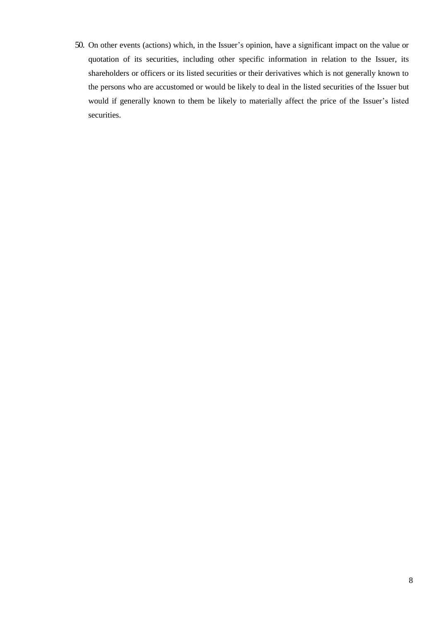50. On other events (actions) which, in the Issuer's opinion, have a significant impact on the value or quotation of its securities, including other specific information in relation to the Issuer, its shareholders or officers or its listed securities or their derivatives which is not generally known to the persons who are accustomed or would be likely to deal in the listed securities of the Issuer but would if generally known to them be likely to materially affect the price of the Issuer's listed securities.